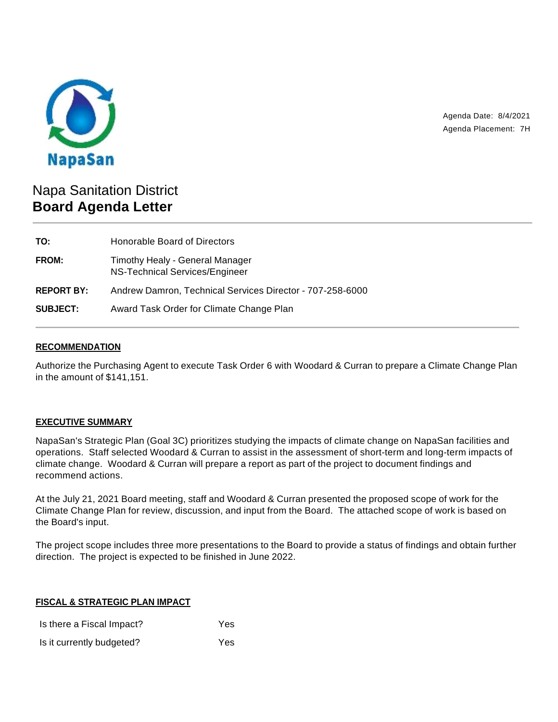

Agenda Date: 8/4/2021 Agenda Placement: 7H

# Napa Sanitation District **Board Agenda Letter**

| TO:               | Honorable Board of Directors                                      |
|-------------------|-------------------------------------------------------------------|
| <b>FROM:</b>      | Timothy Healy - General Manager<br>NS-Technical Services/Engineer |
| <b>REPORT BY:</b> | Andrew Damron, Technical Services Director - 707-258-6000         |
| <b>SUBJECT:</b>   | Award Task Order for Climate Change Plan                          |

## **RECOMMENDATION**

Authorize the Purchasing Agent to execute Task Order 6 with Woodard & Curran to prepare a Climate Change Plan in the amount of \$141,151.

### **EXECUTIVE SUMMARY**

NapaSan's Strategic Plan (Goal 3C) prioritizes studying the impacts of climate change on NapaSan facilities and operations. Staff selected Woodard & Curran to assist in the assessment of short-term and long-term impacts of climate change. Woodard & Curran will prepare a report as part of the project to document findings and recommend actions.

At the July 21, 2021 Board meeting, staff and Woodard & Curran presented the proposed scope of work for the Climate Change Plan for review, discussion, and input from the Board. The attached scope of work is based on the Board's input.

The project scope includes three more presentations to the Board to provide a status of findings and obtain further direction. The project is expected to be finished in June 2022.

### **FISCAL & STRATEGIC PLAN IMPACT**

Is there a Fiscal Impact? Yes Is it currently budgeted? Yes